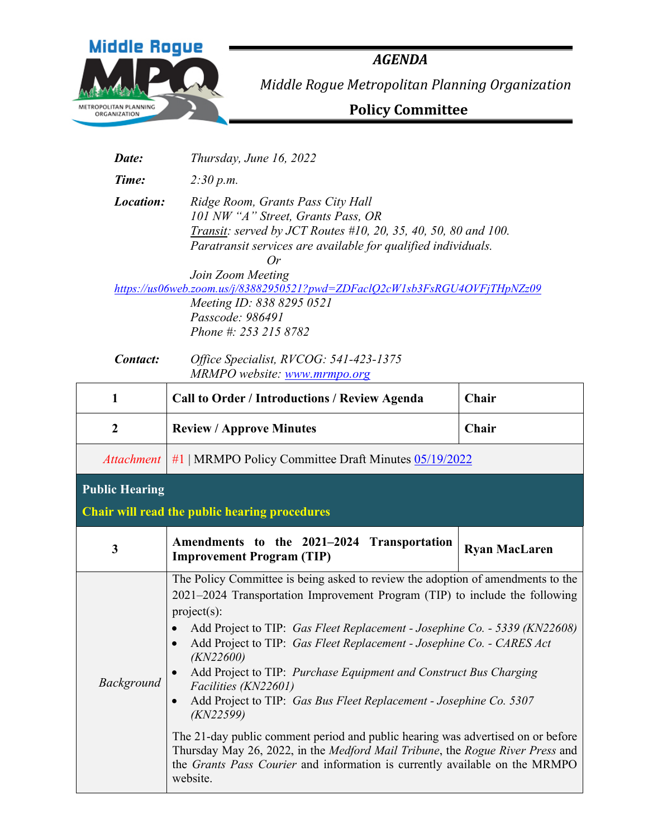

*Date: Thursday, June 16, 2022* 

*AGENDA Middle Rogue Metropolitan Planning Organization*

 **Policy Committee**

*Time: 2:30 p.m. Location: Ridge Room, Grants Pass City Hall 101 NW "A" Street, Grants Pass, OR Transit: served by JCT Routes #10, 20, 35, 40, 50, 80 and 100. Paratransit services are available for qualified individuals. Or Join Zoom Meeting <https://us06web.zoom.us/j/83882950521?pwd=ZDFaclQ2cW1sb3FsRGU4OVFjTHpNZz09> Meeting ID: 838 8295 0521 Passcode: 986491 Phone #: 253 215 8782* 

*Contact: Office Specialist, RVCOG: 541-423-1375 MRMPO website: [www.mrmpo.org](http://www.mrmpo.org/)*

| 1                     | <b>Call to Order / Introductions / Review Agenda</b>                                                                                                                                                                                                                                                                                                                                                                                                                                                                                                                                                                                                                                                                                                                                                          | Chair                |  |  |  |  |
|-----------------------|---------------------------------------------------------------------------------------------------------------------------------------------------------------------------------------------------------------------------------------------------------------------------------------------------------------------------------------------------------------------------------------------------------------------------------------------------------------------------------------------------------------------------------------------------------------------------------------------------------------------------------------------------------------------------------------------------------------------------------------------------------------------------------------------------------------|----------------------|--|--|--|--|
| $\boldsymbol{2}$      | <b>Review / Approve Minutes</b>                                                                                                                                                                                                                                                                                                                                                                                                                                                                                                                                                                                                                                                                                                                                                                               | Chair                |  |  |  |  |
| <i>Attachment</i>     | #1   MRMPO Policy Committee Draft Minutes 05/19/2022                                                                                                                                                                                                                                                                                                                                                                                                                                                                                                                                                                                                                                                                                                                                                          |                      |  |  |  |  |
| <b>Public Hearing</b> | Chair will read the public hearing procedures                                                                                                                                                                                                                                                                                                                                                                                                                                                                                                                                                                                                                                                                                                                                                                 |                      |  |  |  |  |
| $\mathbf{3}$          | Amendments to the 2021–2024 Transportation<br><b>Improvement Program (TIP)</b>                                                                                                                                                                                                                                                                                                                                                                                                                                                                                                                                                                                                                                                                                                                                | <b>Ryan MacLaren</b> |  |  |  |  |
| <b>Background</b>     | The Policy Committee is being asked to review the adoption of amendments to the<br>2021-2024 Transportation Improvement Program (TIP) to include the following<br>project(s):<br>Add Project to TIP: Gas Fleet Replacement - Josephine Co. - 5339 (KN22608)<br>$\bullet$<br>Add Project to TIP: Gas Fleet Replacement - Josephine Co. - CARES Act<br>(KN22600)<br>Add Project to TIP: Purchase Equipment and Construct Bus Charging<br>Facilities (KN22601)<br>Add Project to TIP: Gas Bus Fleet Replacement - Josephine Co. 5307<br>(KN22599)<br>The 21-day public comment period and public hearing was advertised on or before<br>Thursday May 26, 2022, in the Medford Mail Tribune, the Rogue River Press and<br>the Grants Pass Courier and information is currently available on the MRMPO<br>website. |                      |  |  |  |  |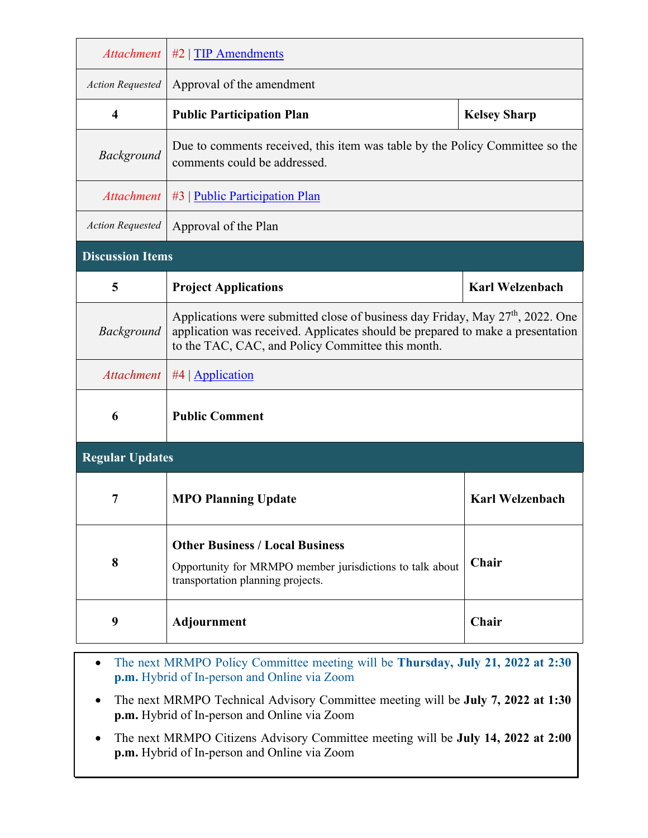| <b>Attachment</b>       | $#2$   TIP Amendments                                                                                                                                                                                                             |                        |  |  |  |  |  |  |  |  |  |  |  |
|-------------------------|-----------------------------------------------------------------------------------------------------------------------------------------------------------------------------------------------------------------------------------|------------------------|--|--|--|--|--|--|--|--|--|--|--|
| <b>Action Requested</b> | Approval of the amendment                                                                                                                                                                                                         |                        |  |  |  |  |  |  |  |  |  |  |  |
| $\overline{\mathbf{4}}$ | <b>Public Participation Plan</b>                                                                                                                                                                                                  | <b>Kelsey Sharp</b>    |  |  |  |  |  |  |  |  |  |  |  |
| Background              | Due to comments received, this item was table by the Policy Committee so the<br>comments could be addressed.                                                                                                                      |                        |  |  |  |  |  |  |  |  |  |  |  |
| <b>Attachment</b>       | #3   Public Participation Plan                                                                                                                                                                                                    |                        |  |  |  |  |  |  |  |  |  |  |  |
| <b>Action Requested</b> | Approval of the Plan                                                                                                                                                                                                              |                        |  |  |  |  |  |  |  |  |  |  |  |
| <b>Discussion Items</b> |                                                                                                                                                                                                                                   |                        |  |  |  |  |  |  |  |  |  |  |  |
| 5                       | <b>Project Applications</b>                                                                                                                                                                                                       | <b>Karl Welzenbach</b> |  |  |  |  |  |  |  |  |  |  |  |
| Background              | Applications were submitted close of business day Friday, May 27 <sup>th</sup> , 2022. One<br>application was received. Applicates should be prepared to make a presentation<br>to the TAC, CAC, and Policy Committee this month. |                        |  |  |  |  |  |  |  |  |  |  |  |
| <b>Attachment</b>       | #4   $\Delta$ pplication                                                                                                                                                                                                          |                        |  |  |  |  |  |  |  |  |  |  |  |
| 6                       | <b>Public Comment</b>                                                                                                                                                                                                             |                        |  |  |  |  |  |  |  |  |  |  |  |
| <b>Regular Updates</b>  |                                                                                                                                                                                                                                   |                        |  |  |  |  |  |  |  |  |  |  |  |
| 7                       | <b>MPO Planning Update</b>                                                                                                                                                                                                        | <b>Karl Welzenbach</b> |  |  |  |  |  |  |  |  |  |  |  |
| 8                       | <b>Other Business / Local Business</b><br>Opportunity for MRMPO member jurisdictions to talk about<br>transportation planning projects.                                                                                           | Chair                  |  |  |  |  |  |  |  |  |  |  |  |
| 9                       | Adjournment                                                                                                                                                                                                                       | Chair                  |  |  |  |  |  |  |  |  |  |  |  |

- The next MRMPO Policy Committee meeting will be **Thursday, July 21, 2022 at 2:30 p.m.** Hybrid of In-person and Online via Zoom
- The next MRMPO Technical Advisory Committee meeting will be **July 7, 2022 at 1:30 p.m.** Hybrid of In-person and Online via Zoom
- The next MRMPO Citizens Advisory Committee meeting will be **July 14, 2022 at 2:00 p.m.** Hybrid of In-person and Online via Zoom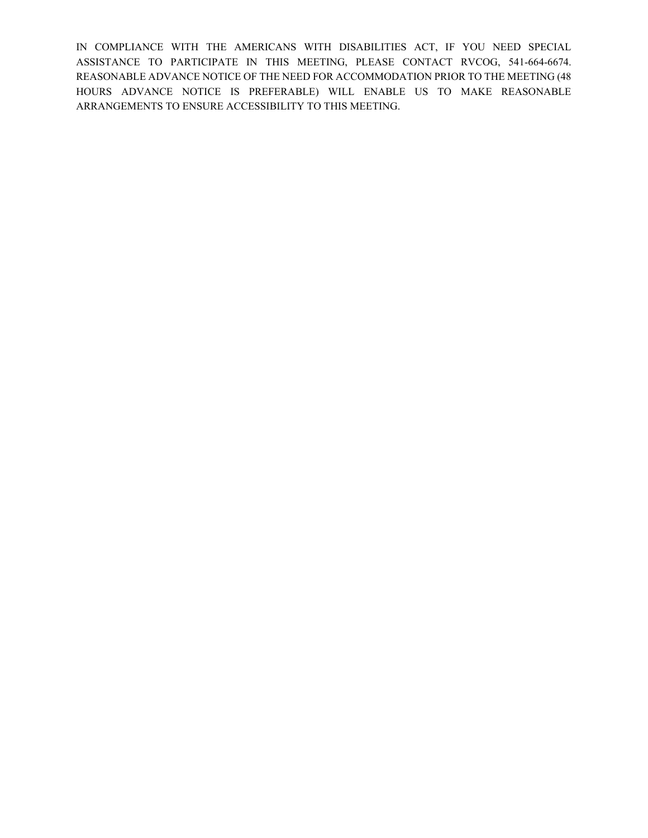IN COMPLIANCE WITH THE AMERICANS WITH DISABILITIES ACT, IF YOU NEED SPECIAL ASSISTANCE TO PARTICIPATE IN THIS MEETING, PLEASE CONTACT RVCOG, 541-664-6674. REASONABLE ADVANCE NOTICE OF THE NEED FOR ACCOMMODATION PRIOR TO THE MEETING (48 HOURS ADVANCE NOTICE IS PREFERABLE) WILL ENABLE US TO MAKE REASONABLE ARRANGEMENTS TO ENSURE ACCESSIBILITY TO THIS MEETING.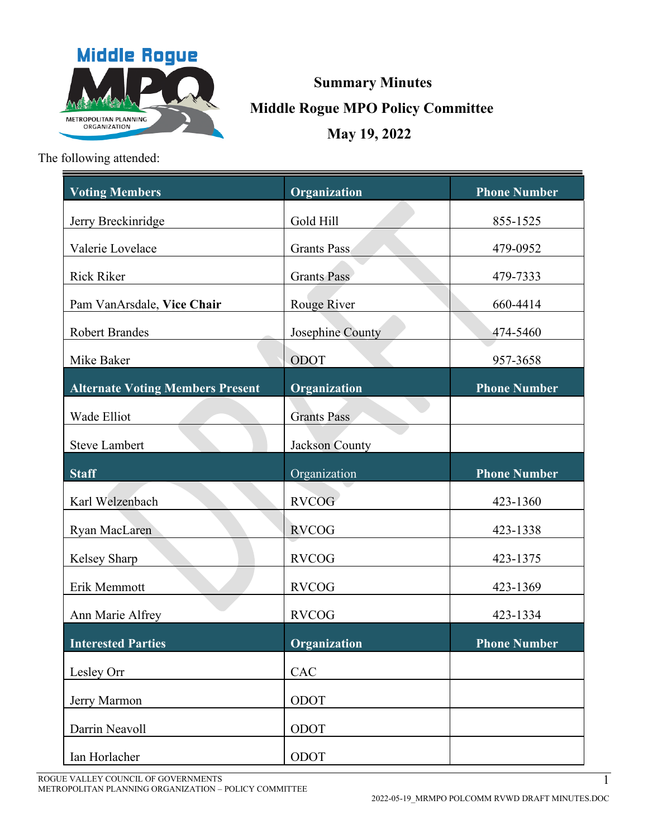

# **Summary Minutes Middle Rogue MPO Policy Committee May 19, 2022**

The following attended:

| <b>Voting Members</b>                   | Organization       | <b>Phone Number</b> |
|-----------------------------------------|--------------------|---------------------|
| Jerry Breckinridge                      | Gold Hill          | 855-1525            |
| Valerie Lovelace                        | <b>Grants Pass</b> | 479-0952            |
| <b>Rick Riker</b>                       | <b>Grants Pass</b> | 479-7333            |
| Pam VanArsdale, Vice Chair              | Rouge River        | 660-4414            |
| <b>Robert Brandes</b>                   | Josephine County   | 474-5460            |
| Mike Baker                              | ODOT               | 957-3658            |
| <b>Alternate Voting Members Present</b> | Organization       | <b>Phone Number</b> |
| Wade Elliot                             | <b>Grants Pass</b> |                     |
| <b>Steve Lambert</b>                    | Jackson County     |                     |
| <b>Staff</b>                            | Organization       | <b>Phone Number</b> |
| Karl Welzenbach                         | <b>RVCOG</b>       | 423-1360            |
| Ryan MacLaren                           | <b>RVCOG</b>       | 423-1338            |
| Kelsey Sharp                            | <b>RVCOG</b>       | 423-1375            |
| Erik Memmott                            | <b>RVCOG</b>       | 423-1369            |
| Ann Marie Alfrey                        | <b>RVCOG</b>       | 423-1334            |
| <b>Interested Parties</b>               | Organization       | <b>Phone Number</b> |
| Lesley Orr                              | CAC                |                     |
|                                         | ODOT               |                     |
| Jerry Marmon                            |                    |                     |
| Darrin Neavoll                          | ODOT               |                     |
| Ian Horlacher                           | ODOT               |                     |

ROGUE VALLEY COUNCIL OF GOVERNMENTS METROPOLITAN PLANNING ORGANIZATION – POLICY COMMITTEE 1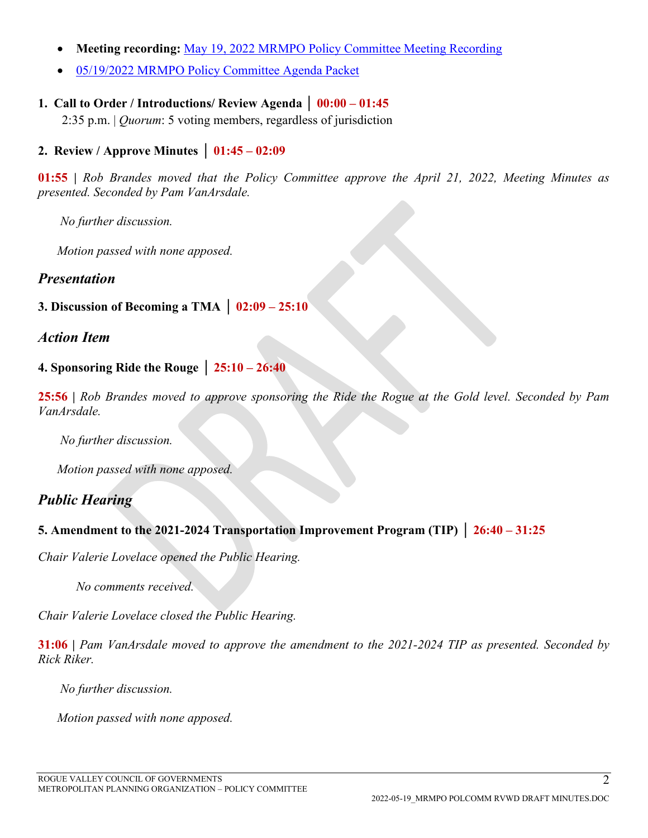- **Meeting recording:** [May 19, 2022 MRMPO Policy Committee Meeting Recording](https://mrmpo.org/wp-content/uploads/2019/09/MRMPO-PolComm-Audio-05-19-2022.mp3)
- [05/19/2022 MRMPO Policy](https://mrmpo.org/wp-content/uploads/2022/05/MRMPO-PolComm-Agenda-Packet-05-19-2022.pdf) Committee Agenda Packet

## **1. Call to Order / Introductions/ Review Agenda │ 00:00 – 01:45**

2:35 p.m. | *Quorum*: 5 voting members, regardless of jurisdiction

## **2. Review / Approve Minutes │ 01:45 – 02:09**

**01:55 |** *Rob Brandes moved that the Policy Committee approve the April 21, 2022, Meeting Minutes as presented. Seconded by Pam VanArsdale.* 

*No further discussion.*

*Motion passed with none apposed.* 

## *Presentation*

#### **3. Discussion of Becoming a TMA │ 02:09 – 25:10**

## *Action Item*

## **4. Sponsoring Ride the Rouge │ 25:10 – 26:40**

**25:56 |** *Rob Brandes moved to approve sponsoring the Ride the Rogue at the Gold level. Seconded by Pam VanArsdale.* 

*No further discussion.*

*Motion passed with none apposed.* 

# *Public Hearing*

## **5. Amendment to the 2021-2024 Transportation Improvement Program (TIP) │ 26:40 – 31:25**

*Chair Valerie Lovelace opened the Public Hearing.* 

*No comments received.* 

*Chair Valerie Lovelace closed the Public Hearing.* 

**31:06 |** *Pam VanArsdale moved to approve the amendment to the 2021-2024 TIP as presented. Seconded by Rick Riker.* 

*No further discussion.*

*Motion passed with none apposed.*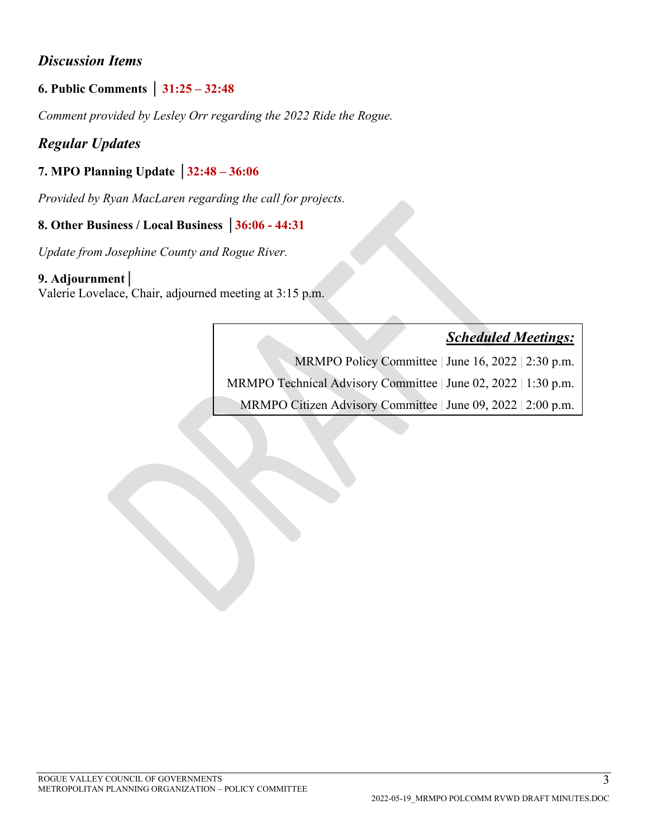# *Discussion Items*

# **6. Public Comments │ 31:25 – 32:48**

*Comment provided by Lesley Orr regarding the 2022 Ride the Rogue.* 

# *Regular Updates*

# **7. MPO Planning Update │32:48 – 36:06**

*Provided by Ryan MacLaren regarding the call for projects.* 

## **8. Other Business / Local Business │36:06 - 44:31**

*Update from Josephine County and Rogue River.* 

#### **9. Adjournment│**

Valerie Lovelace, Chair, adjourned meeting at 3:15 p.m.

# *Scheduled Meetings:*

MRMPO Policy Committee | June 16, 2022 | 2:30 p.m.

MRMPO Technical Advisory Committee | June 02, 2022 | 1:30 p.m.

MRMPO Citizen Advisory Committee | June 09, 2022 | 2:00 p.m.

3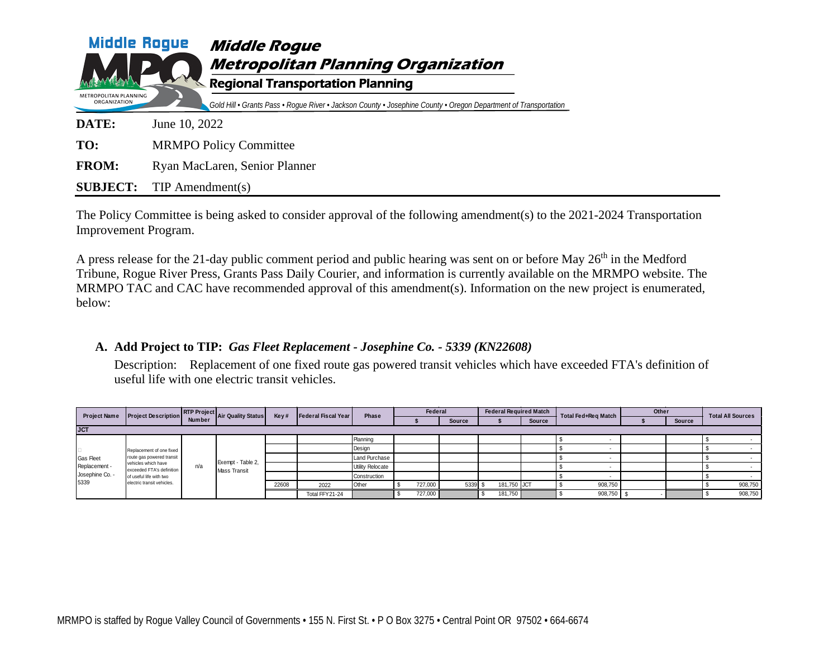| <b>Middle Rogue</b><br>METROPOLITAN PLANNING | <b>Middle Rogue</b><br><b>Metropolitan Planning Organization</b><br><b>Regional Transportation Planning</b>     |
|----------------------------------------------|-----------------------------------------------------------------------------------------------------------------|
| ORGANIZATION                                 | Gold Hill • Grants Pass • Roque River • Jackson County • Josephine County • Oregon Department of Transportation |
| DATE:                                        | June 10, 2022                                                                                                   |
| TO:                                          | <b>MRMPO Policy Committee</b>                                                                                   |
| <b>FROM:</b>                                 | Ryan MacLaren, Senior Planner                                                                                   |
| <b>SUBJECT:</b>                              | $TIP$ Amendment(s)                                                                                              |

The Policy Committee is being asked to consider approval of the following amendment(s) to the 2021-2024 Transportation Improvement Program.

A press release for the 21-day public comment period and public hearing was sent on or before May  $26<sup>th</sup>$  in the Medford Tribune, Rogue River Press, Grants Pass Daily Courier, and information is currently available on the MRMPO website. The MRMPO TAC and CAC have recommended approval of this amendment(s). Information on the new project is enumerated, below:

#### **A. Add Project to TIP:** *Gas Fleet Replacement - Josephine Co. - 5339 (KN22608)*

Description: Replacement of one fixed route gas powered transit vehicles which have exceeded FTA's definition of useful life with one electric transit vehicles.

| <b>Project Name</b>     | <b>Project Description</b>                            |               | RTP Project Air Quality Status           | Key#  | Federal Fiscal Year | Phase            | Federal |               |  |             | <b>Federal Required Match</b> | Total Fed+Reg Match | Other |               | <b>Total All Sources</b> |         |
|-------------------------|-------------------------------------------------------|---------------|------------------------------------------|-------|---------------------|------------------|---------|---------------|--|-------------|-------------------------------|---------------------|-------|---------------|--------------------------|---------|
|                         |                                                       | <b>Number</b> |                                          |       |                     |                  |         | <b>Source</b> |  |             | <b>Source</b>                 |                     |       | <b>Source</b> |                          |         |
| <b>JCT</b>              |                                                       |               |                                          |       |                     |                  |         |               |  |             |                               |                     |       |               |                          |         |
|                         |                                                       |               |                                          |       |                     | Planning         |         |               |  |             |                               |                     |       |               |                          |         |
|                         | Replacement of one fixed<br>route gas powered transit |               | Exempt - Table 2,<br>n/a<br>Mass Transit |       |                     | Design           |         |               |  |             |                               |                     |       |               |                          | $\sim$  |
| Gas Fleet               |                                                       |               |                                          |       |                     | Land Purchase    |         |               |  |             |                               |                     |       |               |                          |         |
| Replacement -           | vehicles which have<br>exceeded FTA's definition      |               |                                          |       |                     | Utility Relocate |         |               |  |             |                               |                     |       |               |                          |         |
| Josephine Co. -<br>5339 | of useful life with two<br>electric transit vehicles. |               |                                          |       |                     | Construction     |         |               |  |             |                               |                     |       |               |                          |         |
|                         |                                                       |               |                                          | 22608 | 2022                | Other            | 727,000 | 5339          |  | 181,750 JCT |                               | 908,750             |       |               |                          | 908,750 |
|                         |                                                       |               |                                          |       | Total FFY21-24      |                  | 727,000 |               |  | 181,750     |                               | 908,750             |       |               |                          | 908,750 |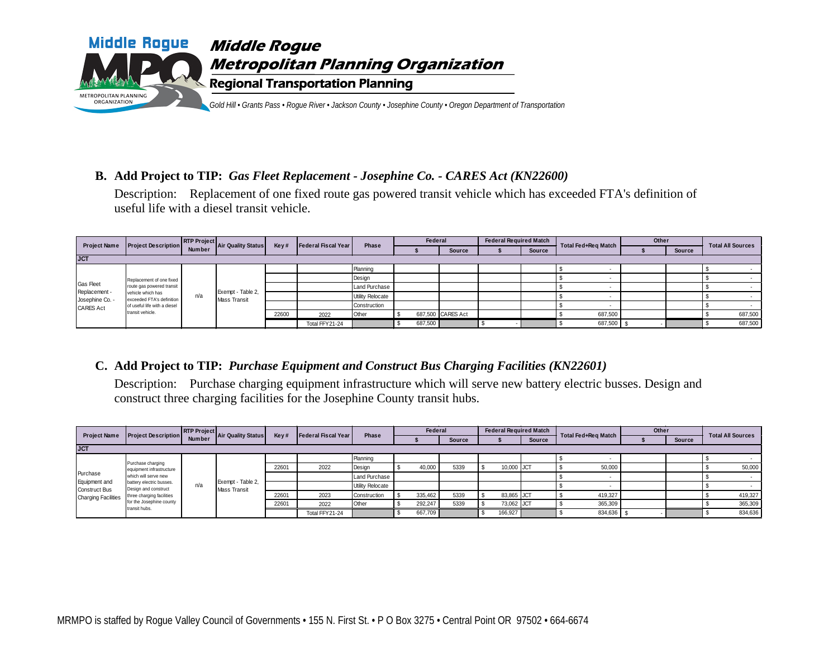

#### **B. Add Project to TIP:** *Gas Fleet Replacement - Josephine Co. - CARES Act (KN22600)*

Description: Replacement of one fixed route gas powered transit vehicle which has exceeded FTA's definition of useful life with a diesel transit vehicle.

| <b>Project Name</b>        | <b>Project Description</b>                            |     | <b>RTP Project</b> Air Quality Status | Key#  | Federal Fiscal Year | Phase            | Federal |                   | <b>Federal Required Match</b> |        | Total Fed+Reg Match | Other |        | <b>Total All Sources</b> |  |
|----------------------------|-------------------------------------------------------|-----|---------------------------------------|-------|---------------------|------------------|---------|-------------------|-------------------------------|--------|---------------------|-------|--------|--------------------------|--|
|                            |                                                       |     |                                       |       |                     |                  |         | <b>Source</b>     |                               | Source |                     |       | Source |                          |  |
| <b>JCT</b>                 |                                                       |     |                                       |       |                     |                  |         |                   |                               |        |                     |       |        |                          |  |
|                            |                                                       |     |                                       |       |                     | Planning         |         |                   |                               |        |                     |       |        |                          |  |
|                            | Replacement of one fixed<br>route gas powered transit | n/a | Exempt - Table 2,<br>Mass Transit     |       |                     | Design           |         |                   |                               |        |                     |       |        |                          |  |
| Gas Fleet<br>Replacement - |                                                       |     |                                       |       |                     | Land Purchase    |         |                   |                               |        |                     |       |        |                          |  |
| Josephine Co. -            | vehicle which has<br>exceeded FTA's definition        |     |                                       |       |                     | Utility Relocate |         |                   |                               |        |                     |       |        |                          |  |
| <b>CARES Act</b>           | of useful life with a diesel                          |     |                                       |       |                     | Construction     |         |                   |                               |        |                     |       |        |                          |  |
|                            | transit vehicle.                                      |     |                                       | 22600 | 2022                | Other            |         | 687,500 CARES Act |                               |        | 687,500             |       |        | 687,500                  |  |
|                            |                                                       |     |                                       |       | Total FFY21-24      |                  | 687,500 |                   |                               |        | 687,500             |       |        | 687,500                  |  |

#### **C. Add Project to TIP:** *Purchase Equipment and Construct Bus Charging Facilities (KN22601)*

Description: Purchase charging equipment infrastructure which will serve new battery electric busses. Design and construct three charging facilities for the Josephine County transit hubs.

| <b>Project Name</b>        | <b>Project Description</b>                       |               | RTP Project Air Quality Status | Key#  | <b>Federal Fiscal Year</b> | Phase            | <b>Federal</b> |               |  | <b>Federal Required Match</b> |               | Total Fed+Reg Match | Other |               | <b>Total All Sources</b> |  |
|----------------------------|--------------------------------------------------|---------------|--------------------------------|-------|----------------------------|------------------|----------------|---------------|--|-------------------------------|---------------|---------------------|-------|---------------|--------------------------|--|
|                            |                                                  | <b>Number</b> |                                |       |                            |                  |                | <b>Source</b> |  |                               | <b>Source</b> |                     |       | <b>Source</b> |                          |  |
| <b>JCT</b>                 |                                                  |               |                                |       |                            |                  |                |               |  |                               |               |                     |       |               |                          |  |
|                            | Purchase charging                                |               |                                |       |                            | Planning         |                |               |  |                               |               |                     |       |               |                          |  |
|                            | equipment infrastructure<br>which will serve new |               |                                | 22601 | 2022                       | Design           | 40,000         | 5339          |  | 10,000 JCT                    |               | 50,000              |       |               | 50,000                   |  |
| Purchase<br>Equipment and  |                                                  |               | Exempt - Table 2,              |       |                            | Land Purchase    |                |               |  |                               |               |                     |       |               |                          |  |
| <b>Construct Bus</b>       | battery electric busses.<br>Design and construct | n/a           | Mass Transit                   |       |                            | Utility Relocate |                |               |  |                               |               |                     |       |               |                          |  |
| <b>Charging Facilities</b> | three charging facilities                        |               |                                | 22601 | 2023                       | Construction     | 335,462        | 5339          |  | 83,865 JCT                    |               | 419,327             |       |               | 419,327                  |  |
|                            | for the Josephine county<br>transit hubs.        |               |                                | 22601 | 2022                       | Other            | 292,247        | 5339          |  | 73,062 JCT                    |               | 365,309             |       |               | 365,309                  |  |
|                            |                                                  |               |                                |       | Total FFY21-24             |                  | 667,709        |               |  | 166,927                       |               | 834,636             |       |               | 834,636                  |  |